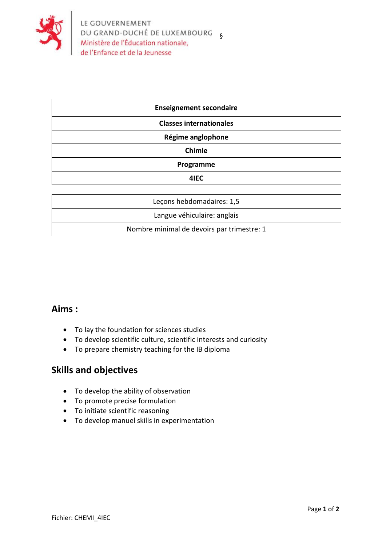

| <b>Enseignement secondaire</b> |  |
|--------------------------------|--|
| <b>Classes internationales</b> |  |
| Régime anglophone              |  |
| Chimie                         |  |
| Programme                      |  |
| 4IEC                           |  |

| Leçons hebdomadaires: 1,5                  |
|--------------------------------------------|
| Langue véhiculaire: anglais                |
| Nombre minimal de devoirs par trimestre: 1 |
|                                            |

## **Aims :**

- To lay the foundation for sciences studies
- To develop scientific culture, scientific interests and curiosity
- To prepare chemistry teaching for the IB diploma

## **Skills and objectives**

- To develop the ability of observation
- To promote precise formulation
- To initiate scientific reasoning
- To develop manuel skills in experimentation